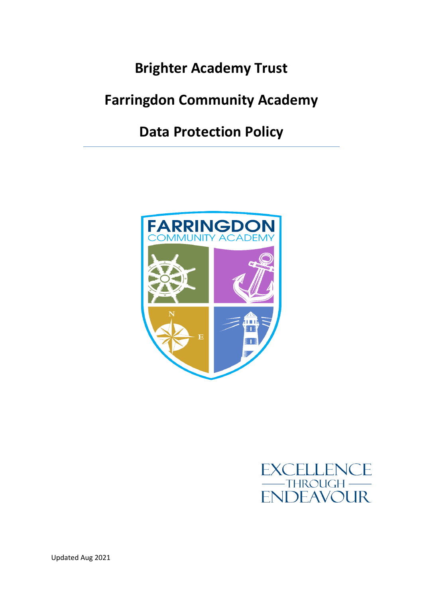# **Brighter Academy Trust**

# **Farringdon Community Academy**

**Data Protection Policy**



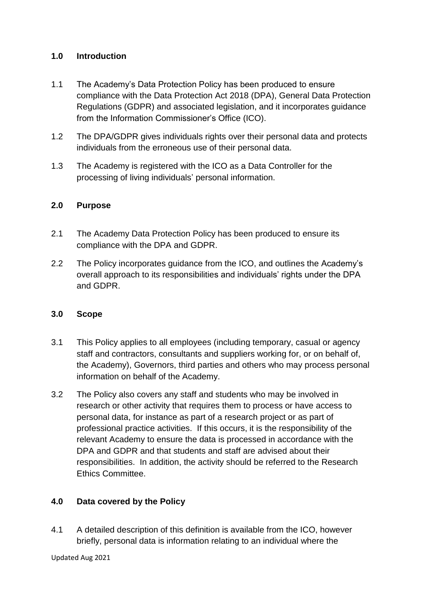# **1.0 Introduction**

- 1.1 The Academy's Data Protection Policy has been produced to ensure compliance with the Data Protection Act 2018 (DPA), General Data Protection Regulations (GDPR) and associated legislation, and it incorporates guidance from the Information Commissioner's Office (ICO).
- 1.2 The DPA/GDPR gives individuals rights over their personal data and protects individuals from the erroneous use of their personal data.
- 1.3 The Academy is registered with the ICO as a Data Controller for the processing of living individuals' personal information.

# **2.0 Purpose**

- 2.1 The Academy Data Protection Policy has been produced to ensure its compliance with the DPA and GDPR.
- 2.2 The Policy incorporates guidance from the ICO, and outlines the Academy's overall approach to its responsibilities and individuals' rights under the DPA and GDPR.

# **3.0 Scope**

- 3.1 This Policy applies to all employees (including temporary, casual or agency staff and contractors, consultants and suppliers working for, or on behalf of, the Academy), Governors, third parties and others who may process personal information on behalf of the Academy.
- 3.2 The Policy also covers any staff and students who may be involved in research or other activity that requires them to process or have access to personal data, for instance as part of a research project or as part of professional practice activities. If this occurs, it is the responsibility of the relevant Academy to ensure the data is processed in accordance with the DPA and GDPR and that students and staff are advised about their responsibilities. In addition, the activity should be referred to the Research Ethics Committee.

# **4.0 Data covered by the Policy**

4.1 A detailed description of this definition is available from the ICO, however briefly, personal data is information relating to an individual where the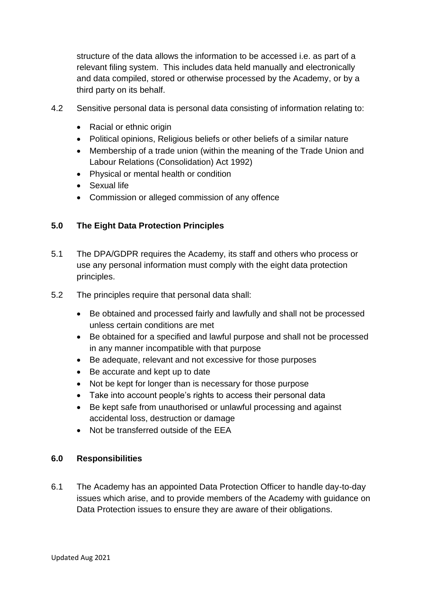structure of the data allows the information to be accessed i.e. as part of a relevant filing system. This includes data held manually and electronically and data compiled, stored or otherwise processed by the Academy, or by a third party on its behalf.

- 4.2 Sensitive personal data is personal data consisting of information relating to:
	- Racial or ethnic origin
	- Political opinions, Religious beliefs or other beliefs of a similar nature
	- Membership of a trade union (within the meaning of the Trade Union and Labour Relations (Consolidation) Act 1992)
	- Physical or mental health or condition
	- Sexual life
	- Commission or alleged commission of any offence

#### **5.0 The Eight Data Protection Principles**

- 5.1 The DPA/GDPR requires the Academy, its staff and others who process or use any personal information must comply with the eight data protection principles.
- 5.2 The principles require that personal data shall:
	- Be obtained and processed fairly and lawfully and shall not be processed unless certain conditions are met
	- Be obtained for a specified and lawful purpose and shall not be processed in any manner incompatible with that purpose
	- Be adequate, relevant and not excessive for those purposes
	- Be accurate and kept up to date
	- Not be kept for longer than is necessary for those purpose
	- Take into account people's rights to access their personal data
	- Be kept safe from unauthorised or unlawful processing and against accidental loss, destruction or damage
	- Not be transferred outside of the EEA

#### **6.0 Responsibilities**

6.1 The Academy has an appointed Data Protection Officer to handle day-to-day issues which arise, and to provide members of the Academy with guidance on Data Protection issues to ensure they are aware of their obligations.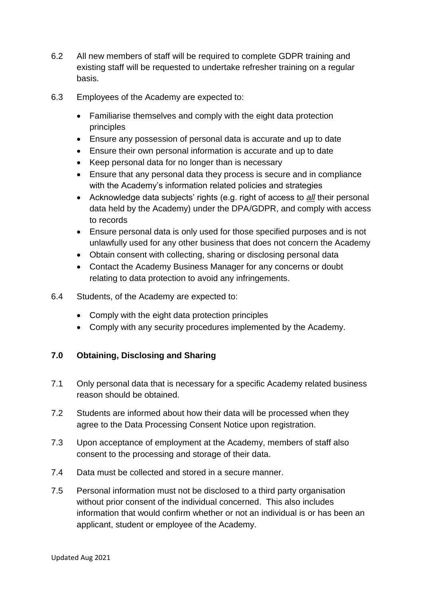- 6.2 All new members of staff will be required to complete GDPR training and existing staff will be requested to undertake refresher training on a regular basis.
- 6.3 Employees of the Academy are expected to:
	- Familiarise themselves and comply with the eight data protection principles
	- Ensure any possession of personal data is accurate and up to date
	- Ensure their own personal information is accurate and up to date
	- Keep personal data for no longer than is necessary
	- Ensure that any personal data they process is secure and in compliance with the Academy's information related policies and strategies
	- Acknowledge data subjects' rights (e.g. right of access to *all* their personal data held by the Academy) under the DPA/GDPR, and comply with access to records
	- Ensure personal data is only used for those specified purposes and is not unlawfully used for any other business that does not concern the Academy
	- Obtain consent with collecting, sharing or disclosing personal data
	- Contact the Academy Business Manager for any concerns or doubt relating to data protection to avoid any infringements.
- 6.4 Students, of the Academy are expected to:
	- Comply with the eight data protection principles
	- Comply with any security procedures implemented by the Academy.

# **7.0 Obtaining, Disclosing and Sharing**

- 7.1 Only personal data that is necessary for a specific Academy related business reason should be obtained.
- 7.2 Students are informed about how their data will be processed when they agree to the Data Processing Consent Notice upon registration.
- 7.3 Upon acceptance of employment at the Academy, members of staff also consent to the processing and storage of their data.
- 7.4 Data must be collected and stored in a secure manner.
- 7.5 Personal information must not be disclosed to a third party organisation without prior consent of the individual concerned. This also includes information that would confirm whether or not an individual is or has been an applicant, student or employee of the Academy.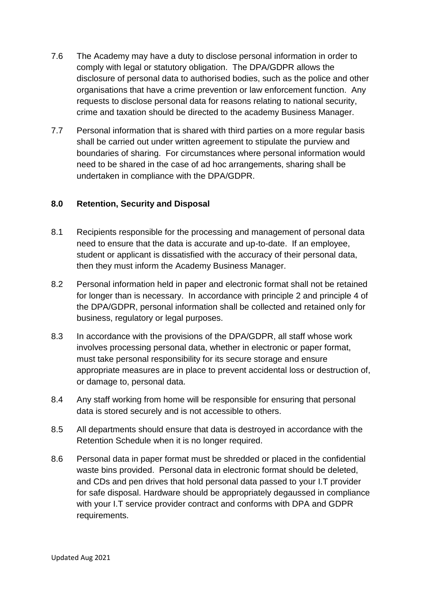- 7.6 The Academy may have a duty to disclose personal information in order to comply with legal or statutory obligation. The DPA/GDPR allows the disclosure of personal data to authorised bodies, such as the police and other organisations that have a crime prevention or law enforcement function. Any requests to disclose personal data for reasons relating to national security, crime and taxation should be directed to the academy Business Manager.
- 7.7 Personal information that is shared with third parties on a more regular basis shall be carried out under written agreement to stipulate the purview and boundaries of sharing. For circumstances where personal information would need to be shared in the case of ad hoc arrangements, sharing shall be undertaken in compliance with the DPA/GDPR.

#### **8.0 Retention, Security and Disposal**

- 8.1 Recipients responsible for the processing and management of personal data need to ensure that the data is accurate and up-to-date. If an employee, student or applicant is dissatisfied with the accuracy of their personal data, then they must inform the Academy Business Manager.
- 8.2 Personal information held in paper and electronic format shall not be retained for longer than is necessary. In accordance with principle 2 and principle 4 of the DPA/GDPR, personal information shall be collected and retained only for business, regulatory or legal purposes.
- 8.3 In accordance with the provisions of the DPA/GDPR, all staff whose work involves processing personal data, whether in electronic or paper format, must take personal responsibility for its secure storage and ensure appropriate measures are in place to prevent accidental loss or destruction of, or damage to, personal data.
- 8.4 Any staff working from home will be responsible for ensuring that personal data is stored securely and is not accessible to others.
- 8.5 All departments should ensure that data is destroyed in accordance with the Retention Schedule when it is no longer required.
- 8.6 Personal data in paper format must be shredded or placed in the confidential waste bins provided. Personal data in electronic format should be deleted, and CDs and pen drives that hold personal data passed to your I.T provider for safe disposal. Hardware should be appropriately degaussed in compliance with your I.T service provider contract and conforms with DPA and GDPR requirements.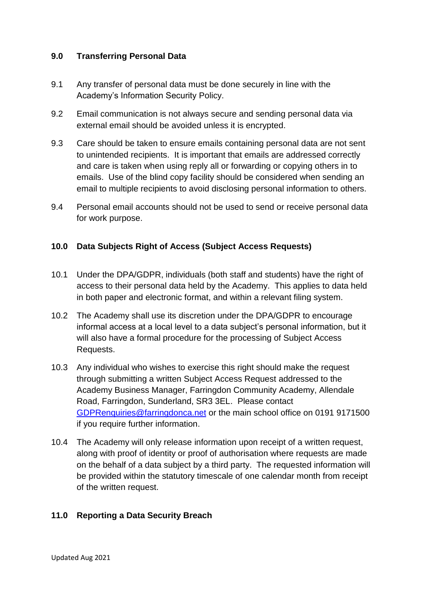# **9.0 Transferring Personal Data**

- 9.1 Any transfer of personal data must be done securely in line with the Academy's Information Security Policy.
- 9.2 Email communication is not always secure and sending personal data via external email should be avoided unless it is encrypted.
- 9.3 Care should be taken to ensure emails containing personal data are not sent to unintended recipients. It is important that emails are addressed correctly and care is taken when using reply all or forwarding or copying others in to emails. Use of the blind copy facility should be considered when sending an email to multiple recipients to avoid disclosing personal information to others.
- 9.4 Personal email accounts should not be used to send or receive personal data for work purpose.

#### **10.0 Data Subjects Right of Access (Subject Access Requests)**

- 10.1 Under the DPA/GDPR, individuals (both staff and students) have the right of access to their personal data held by the Academy. This applies to data held in both paper and electronic format, and within a relevant filing system.
- 10.2 The Academy shall use its discretion under the DPA/GDPR to encourage informal access at a local level to a data subject's personal information, but it will also have a formal procedure for the processing of Subject Access Requests.
- 10.3 Any individual who wishes to exercise this right should make the request through submitting a written Subject Access Request addressed to the Academy Business Manager, Farringdon Community Academy, Allendale Road, Farringdon, Sunderland, SR3 3EL. Please contact [GDPRenquiries@farringdonca.net](mailto:GDPRenquiries@farringdonca.net) or the main school office on 0191 9171500 if you require further information.
- 10.4 The Academy will only release information upon receipt of a written request, along with proof of identity or proof of authorisation where requests are made on the behalf of a data subject by a third party. The requested information will be provided within the statutory timescale of one calendar month from receipt of the written request.

# **11.0 Reporting a Data Security Breach**